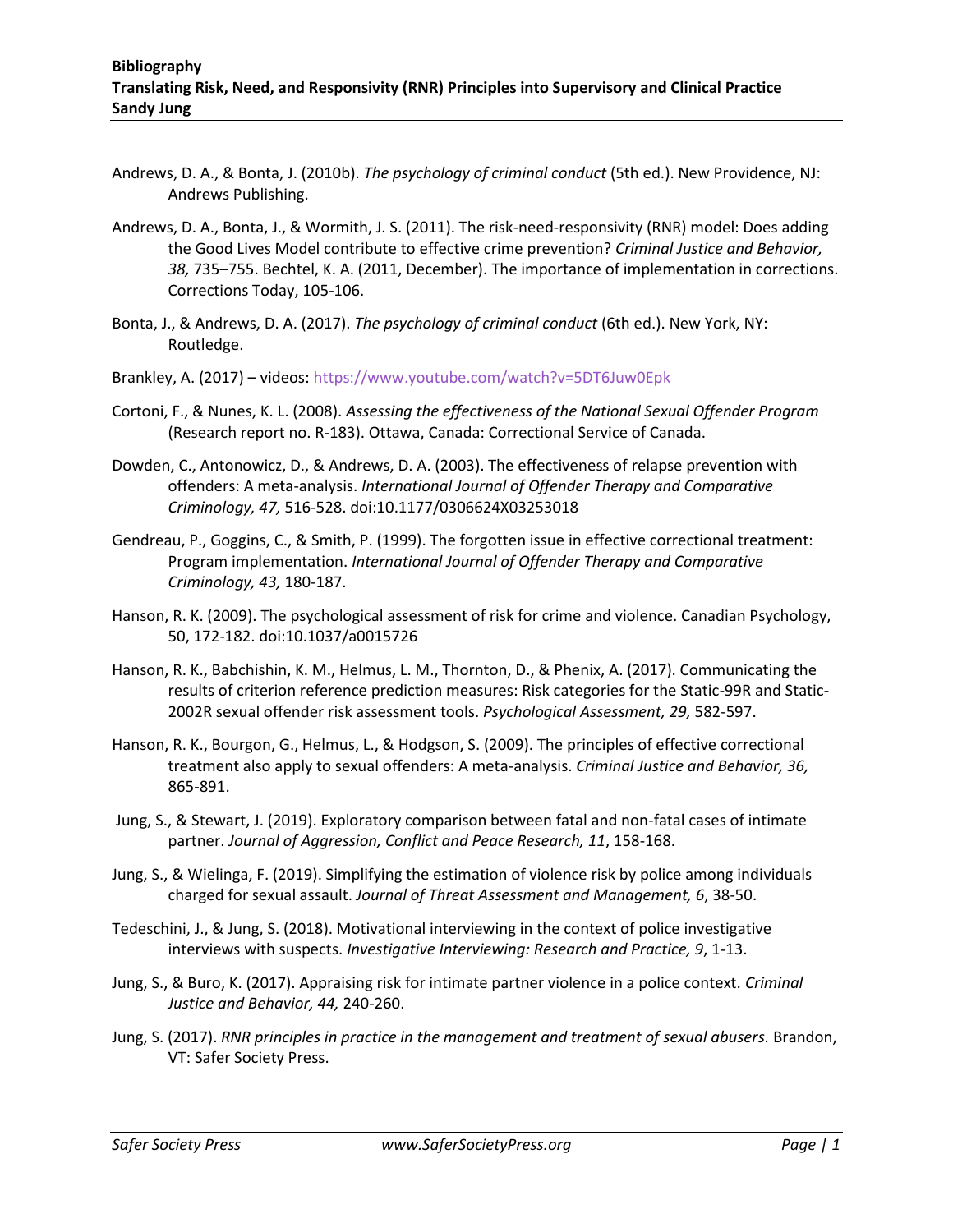- Andrews, D. A., & Bonta, J. (2010b). *The psychology of criminal conduct* (5th ed.). New Providence, NJ: Andrews Publishing.
- Andrews, D. A., Bonta, J., & Wormith, J. S. (2011). The risk-need-responsivity (RNR) model: Does adding the Good Lives Model contribute to effective crime prevention? *Criminal Justice and Behavior, 38,* 735–755. Bechtel, K. A. (2011, December). The importance of implementation in corrections. Corrections Today, 105-106.
- Bonta, J., & Andrews, D. A. (2017). *The psychology of criminal conduct* (6th ed.). New York, NY: Routledge.
- Brankley, A. (2017) videos: https://www.youtube.com/watch?v=5DT6Juw0Epk
- Cortoni, F., & Nunes, K. L. (2008). *Assessing the effectiveness of the National Sexual Offender Program*  (Research report no. R-183). Ottawa, Canada: Correctional Service of Canada.
- Dowden, C., Antonowicz, D., & Andrews, D. A. (2003). The effectiveness of relapse prevention with offenders: A meta-analysis. *International Journal of Offender Therapy and Comparative Criminology, 47,* 516-528. doi:10.1177/0306624X03253018
- Gendreau, P., Goggins, C., & Smith, P. (1999). The forgotten issue in effective correctional treatment: Program implementation. *International Journal of Offender Therapy and Comparative Criminology, 43,* 180-187.
- Hanson, R. K. (2009). The psychological assessment of risk for crime and violence. Canadian Psychology, 50, 172-182. doi:10.1037/a0015726
- Hanson, R. K., Babchishin, K. M., Helmus, L. M., Thornton, D., & Phenix, A. (2017). Communicating the results of criterion reference prediction measures: Risk categories for the Static-99R and Static-2002R sexual offender risk assessment tools. *Psychological Assessment, 29,* 582-597.
- Hanson, R. K., Bourgon, G., Helmus, L., & Hodgson, S. (2009). The principles of effective correctional treatment also apply to sexual offenders: A meta-analysis. *Criminal Justice and Behavior, 36,*  865-891.
- Jung, S., & Stewart, J. (2019). Exploratory comparison between fatal and non-fatal cases of intimate partner. *Journal of Aggression, Conflict and Peace Research, 11*, 158-168.
- Jung, S., & Wielinga, F. (2019). Simplifying the estimation of violence risk by police among individuals charged for sexual assault. *Journal of Threat Assessment and Management, 6*, 38-50.
- Tedeschini, J., & Jung, S. (2018). Motivational interviewing in the context of police investigative interviews with suspects. *Investigative Interviewing: Research and Practice, 9*, 1-13.
- Jung, S., & Buro, K. (2017). Appraising risk for intimate partner violence in a police context. *Criminal Justice and Behavior, 44,* 240-260.
- Jung, S. (2017). *RNR principles in practice in the management and treatment of sexual abusers.* Brandon, VT: Safer Society Press.